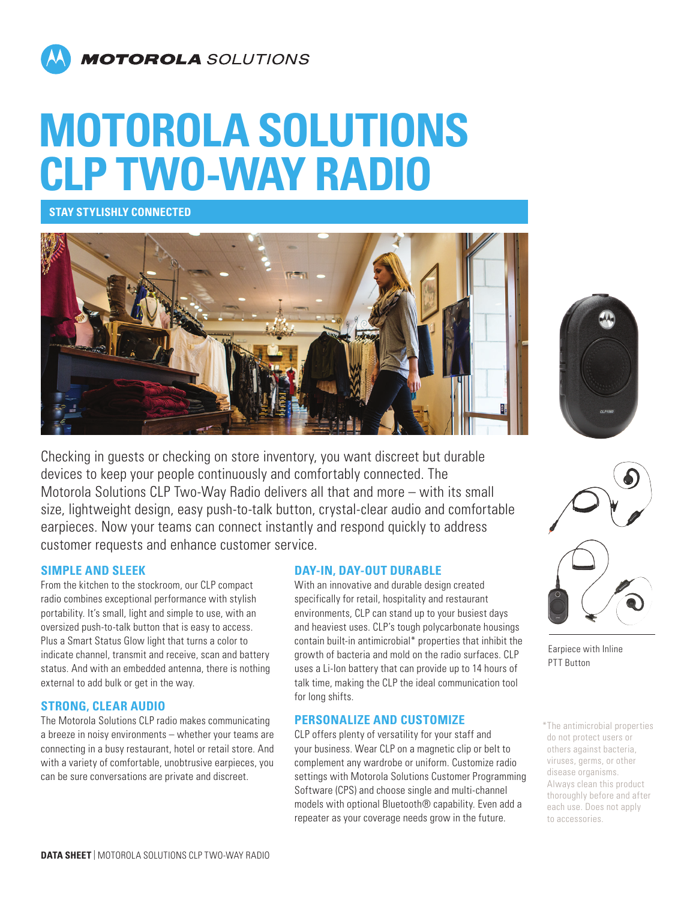

# **MOTOROLA SOLUTIONS CLP TWO-WAY RADIO**

**STAY STYLISHLY CONNECTED**



Checking in guests or checking on store inventory, you want discreet but durable devices to keep your people continuously and comfortably connected. The Motorola Solutions CLP Two-Way Radio delivers all that and more – with its small size, lightweight design, easy push-to-talk button, crystal-clear audio and comfortable earpieces. Now your teams can connect instantly and respond quickly to address customer requests and enhance customer service.

### **SIMPLE AND SLEEK**

From the kitchen to the stockroom, our CLP compact radio combines exceptional performance with stylish portability. It's small, light and simple to use, with an oversized push-to-talk button that is easy to access. Plus a Smart Status Glow light that turns a color to indicate channel, transmit and receive, scan and battery status. And with an embedded antenna, there is nothing external to add bulk or get in the way.

### **STRONG, CLEAR AUDIO**

The Motorola Solutions CLP radio makes communicating a breeze in noisy environments – whether your teams are connecting in a busy restaurant, hotel or retail store. And with a variety of comfortable, unobtrusive earpieces, you can be sure conversations are private and discreet.

### **DAY-IN, DAY-OUT DURABLE**

With an innovative and durable design created specifically for retail, hospitality and restaurant environments, CLP can stand up to your busiest days and heaviest uses. CLP's tough polycarbonate housings contain built-in antimicrobial\* properties that inhibit the growth of bacteria and mold on the radio surfaces. CLP uses a Li-Ion battery that can provide up to 14 hours of talk time, making the CLP the ideal communication tool for long shifts.

### **PERSONALIZE AND CUSTOMIZE**

CLP offers plenty of versatility for your staff and your business. Wear CLP on a magnetic clip or belt to complement any wardrobe or uniform. Customize radio settings with Motorola Solutions Customer Programming Software (CPS) and choose single and multi-channel models with optional Bluetooth® capability. Even add a repeater as your coverage needs grow in the future.





Earpiece with Inline PTT Button

\*The antimicrobial properties do not protect users or others against bacteria, viruses, germs, or other disease organisms. Always clean this product thoroughly before and after each use. Does not apply to accessories.